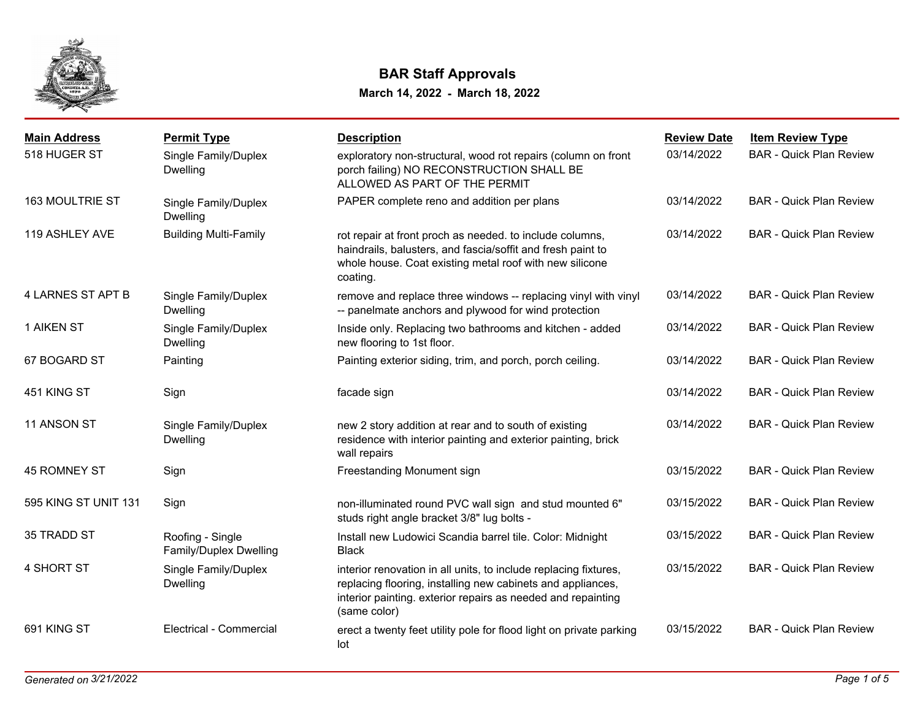

# **BAR Staff Approvals**

**March 14, 2022 - March 18, 2022**

| <b>Main Address</b>  | <b>Permit Type</b>                         | <b>Description</b>                                                                                                                                                                                              | <b>Review Date</b> | <b>Item Review Type</b>        |
|----------------------|--------------------------------------------|-----------------------------------------------------------------------------------------------------------------------------------------------------------------------------------------------------------------|--------------------|--------------------------------|
| 518 HUGER ST         | Single Family/Duplex<br><b>Dwelling</b>    | exploratory non-structural, wood rot repairs (column on front<br>porch failing) NO RECONSTRUCTION SHALL BE<br>ALLOWED AS PART OF THE PERMIT                                                                     | 03/14/2022         | <b>BAR - Quick Plan Review</b> |
| 163 MOULTRIE ST      | Single Family/Duplex<br><b>Dwelling</b>    | PAPER complete reno and addition per plans                                                                                                                                                                      | 03/14/2022         | <b>BAR - Quick Plan Review</b> |
| 119 ASHLEY AVE       | <b>Building Multi-Family</b>               | rot repair at front proch as needed. to include columns,<br>haindrails, balusters, and fascia/soffit and fresh paint to<br>whole house. Coat existing metal roof with new silicone<br>coating.                  | 03/14/2022         | <b>BAR - Quick Plan Review</b> |
| 4 LARNES ST APT B    | Single Family/Duplex<br><b>Dwelling</b>    | remove and replace three windows -- replacing vinyl with vinyl<br>-- panelmate anchors and plywood for wind protection                                                                                          | 03/14/2022         | <b>BAR - Quick Plan Review</b> |
| <b>1 AIKEN ST</b>    | Single Family/Duplex<br>Dwelling           | Inside only. Replacing two bathrooms and kitchen - added<br>new flooring to 1st floor.                                                                                                                          | 03/14/2022         | <b>BAR - Quick Plan Review</b> |
| 67 BOGARD ST         | Painting                                   | Painting exterior siding, trim, and porch, porch ceiling.                                                                                                                                                       | 03/14/2022         | <b>BAR - Quick Plan Review</b> |
| 451 KING ST          | Sign                                       | facade sign                                                                                                                                                                                                     | 03/14/2022         | <b>BAR - Quick Plan Review</b> |
| 11 ANSON ST          | Single Family/Duplex<br><b>Dwelling</b>    | new 2 story addition at rear and to south of existing<br>residence with interior painting and exterior painting, brick<br>wall repairs                                                                          | 03/14/2022         | <b>BAR - Quick Plan Review</b> |
| 45 ROMNEY ST         | Sign                                       | Freestanding Monument sign                                                                                                                                                                                      | 03/15/2022         | <b>BAR - Quick Plan Review</b> |
| 595 KING ST UNIT 131 | Sign                                       | non-illuminated round PVC wall sign and stud mounted 6"<br>studs right angle bracket 3/8" lug bolts -                                                                                                           | 03/15/2022         | <b>BAR - Quick Plan Review</b> |
| 35 TRADD ST          | Roofing - Single<br>Family/Duplex Dwelling | Install new Ludowici Scandia barrel tile. Color: Midnight<br><b>Black</b>                                                                                                                                       | 03/15/2022         | <b>BAR - Quick Plan Review</b> |
| 4 SHORT ST           | Single Family/Duplex<br>Dwelling           | interior renovation in all units, to include replacing fixtures,<br>replacing flooring, installing new cabinets and appliances,<br>interior painting. exterior repairs as needed and repainting<br>(same color) | 03/15/2022         | <b>BAR - Quick Plan Review</b> |
| 691 KING ST          | <b>Electrical - Commercial</b>             | erect a twenty feet utility pole for flood light on private parking<br>lot                                                                                                                                      | 03/15/2022         | <b>BAR - Quick Plan Review</b> |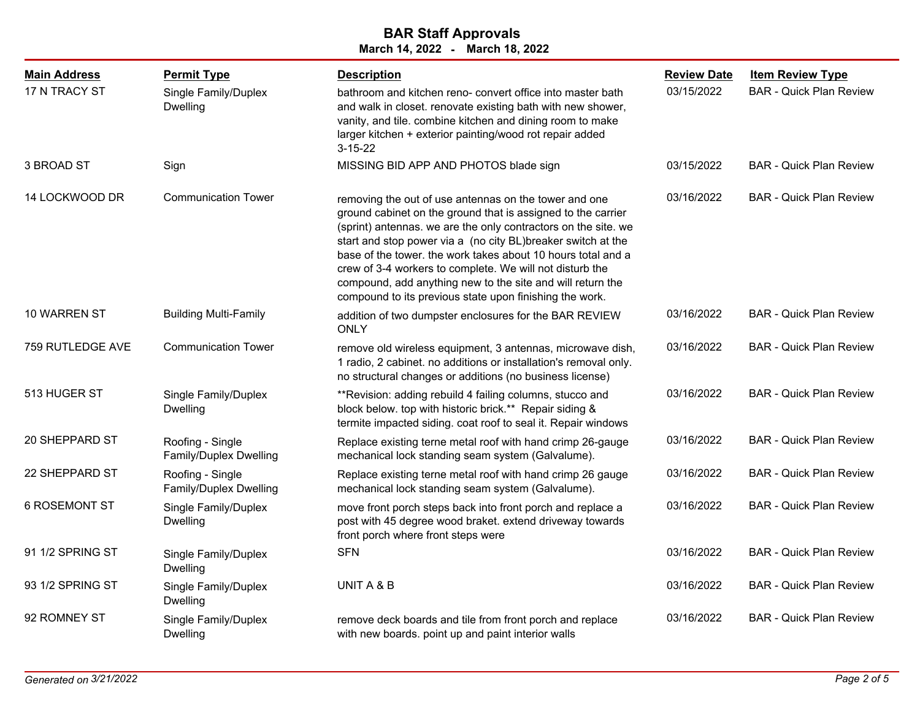| <b>Main Address</b>  | <b>Permit Type</b>                         | <b>Description</b>                                                                                                                                                                                                                                                                                                                                                                                                                                                                                           | <b>Review Date</b> | <b>Item Review Type</b>        |
|----------------------|--------------------------------------------|--------------------------------------------------------------------------------------------------------------------------------------------------------------------------------------------------------------------------------------------------------------------------------------------------------------------------------------------------------------------------------------------------------------------------------------------------------------------------------------------------------------|--------------------|--------------------------------|
| 17 N TRACY ST        | Single Family/Duplex<br><b>Dwelling</b>    | bathroom and kitchen reno- convert office into master bath<br>and walk in closet. renovate existing bath with new shower,<br>vanity, and tile. combine kitchen and dining room to make<br>larger kitchen + exterior painting/wood rot repair added<br>$3 - 15 - 22$                                                                                                                                                                                                                                          | 03/15/2022         | <b>BAR - Quick Plan Review</b> |
| 3 BROAD ST           | Sign                                       | MISSING BID APP AND PHOTOS blade sign                                                                                                                                                                                                                                                                                                                                                                                                                                                                        | 03/15/2022         | <b>BAR - Quick Plan Review</b> |
| 14 LOCKWOOD DR       | <b>Communication Tower</b>                 | removing the out of use antennas on the tower and one<br>ground cabinet on the ground that is assigned to the carrier<br>(sprint) antennas. we are the only contractors on the site. we<br>start and stop power via a (no city BL)breaker switch at the<br>base of the tower. the work takes about 10 hours total and a<br>crew of 3-4 workers to complete. We will not disturb the<br>compound, add anything new to the site and will return the<br>compound to its previous state upon finishing the work. | 03/16/2022         | <b>BAR - Quick Plan Review</b> |
| 10 WARREN ST         | <b>Building Multi-Family</b>               | addition of two dumpster enclosures for the BAR REVIEW<br><b>ONLY</b>                                                                                                                                                                                                                                                                                                                                                                                                                                        | 03/16/2022         | <b>BAR - Quick Plan Review</b> |
| 759 RUTLEDGE AVE     | <b>Communication Tower</b>                 | remove old wireless equipment, 3 antennas, microwave dish,<br>1 radio, 2 cabinet. no additions or installation's removal only.<br>no structural changes or additions (no business license)                                                                                                                                                                                                                                                                                                                   | 03/16/2022         | <b>BAR - Quick Plan Review</b> |
| 513 HUGER ST         | Single Family/Duplex<br>Dwelling           | ** Revision: adding rebuild 4 failing columns, stucco and<br>block below. top with historic brick.** Repair siding &<br>termite impacted siding. coat roof to seal it. Repair windows                                                                                                                                                                                                                                                                                                                        | 03/16/2022         | <b>BAR - Quick Plan Review</b> |
| 20 SHEPPARD ST       | Roofing - Single<br>Family/Duplex Dwelling | Replace existing terne metal roof with hand crimp 26-gauge<br>mechanical lock standing seam system (Galvalume).                                                                                                                                                                                                                                                                                                                                                                                              | 03/16/2022         | <b>BAR - Quick Plan Review</b> |
| 22 SHEPPARD ST       | Roofing - Single<br>Family/Duplex Dwelling | Replace existing terne metal roof with hand crimp 26 gauge<br>mechanical lock standing seam system (Galvalume).                                                                                                                                                                                                                                                                                                                                                                                              | 03/16/2022         | <b>BAR - Quick Plan Review</b> |
| <b>6 ROSEMONT ST</b> | Single Family/Duplex<br>Dwelling           | move front porch steps back into front porch and replace a<br>post with 45 degree wood braket. extend driveway towards<br>front porch where front steps were                                                                                                                                                                                                                                                                                                                                                 | 03/16/2022         | <b>BAR - Quick Plan Review</b> |
| 91 1/2 SPRING ST     | Single Family/Duplex<br>Dwelling           | <b>SFN</b>                                                                                                                                                                                                                                                                                                                                                                                                                                                                                                   | 03/16/2022         | <b>BAR - Quick Plan Review</b> |
| 93 1/2 SPRING ST     | Single Family/Duplex<br><b>Dwelling</b>    | UNIT A & B                                                                                                                                                                                                                                                                                                                                                                                                                                                                                                   | 03/16/2022         | <b>BAR - Quick Plan Review</b> |
| 92 ROMNEY ST         | Single Family/Duplex<br><b>Dwelling</b>    | remove deck boards and tile from front porch and replace<br>with new boards. point up and paint interior walls                                                                                                                                                                                                                                                                                                                                                                                               | 03/16/2022         | <b>BAR - Quick Plan Review</b> |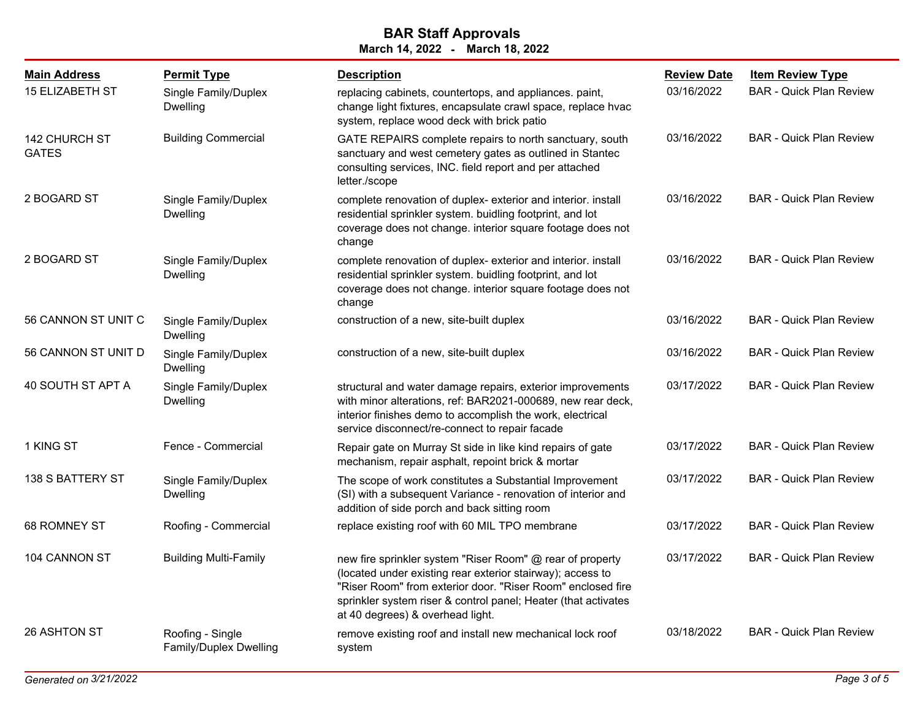| <b>Main Address</b>                  | <b>Permit Type</b>                         | <b>Description</b>                                                                                                                                                                                                                                                                           | <b>Review Date</b> | <b>Item Review Type</b>        |
|--------------------------------------|--------------------------------------------|----------------------------------------------------------------------------------------------------------------------------------------------------------------------------------------------------------------------------------------------------------------------------------------------|--------------------|--------------------------------|
| <b>15 ELIZABETH ST</b>               | Single Family/Duplex<br>Dwelling           | replacing cabinets, countertops, and appliances. paint,<br>change light fixtures, encapsulate crawl space, replace hvac<br>system, replace wood deck with brick patio                                                                                                                        | 03/16/2022         | <b>BAR - Quick Plan Review</b> |
| <b>142 CHURCH ST</b><br><b>GATES</b> | <b>Building Commercial</b>                 | GATE REPAIRS complete repairs to north sanctuary, south<br>sanctuary and west cemetery gates as outlined in Stantec<br>consulting services, INC. field report and per attached<br>letter./scope                                                                                              | 03/16/2022         | <b>BAR - Quick Plan Review</b> |
| 2 BOGARD ST                          | Single Family/Duplex<br><b>Dwelling</b>    | complete renovation of duplex- exterior and interior. install<br>residential sprinkler system. buidling footprint, and lot<br>coverage does not change. interior square footage does not<br>change                                                                                           | 03/16/2022         | <b>BAR - Quick Plan Review</b> |
| 2 BOGARD ST                          | Single Family/Duplex<br><b>Dwelling</b>    | complete renovation of duplex- exterior and interior. install<br>residential sprinkler system. buidling footprint, and lot<br>coverage does not change. interior square footage does not<br>change                                                                                           | 03/16/2022         | <b>BAR - Quick Plan Review</b> |
| 56 CANNON ST UNIT C                  | Single Family/Duplex<br><b>Dwelling</b>    | construction of a new, site-built duplex                                                                                                                                                                                                                                                     | 03/16/2022         | <b>BAR - Quick Plan Review</b> |
| 56 CANNON ST UNIT D                  | Single Family/Duplex<br>Dwelling           | construction of a new, site-built duplex                                                                                                                                                                                                                                                     | 03/16/2022         | <b>BAR - Quick Plan Review</b> |
| 40 SOUTH ST APT A                    | Single Family/Duplex<br>Dwelling           | structural and water damage repairs, exterior improvements<br>with minor alterations, ref: BAR2021-000689, new rear deck,<br>interior finishes demo to accomplish the work, electrical<br>service disconnect/re-connect to repair facade                                                     | 03/17/2022         | <b>BAR - Quick Plan Review</b> |
| 1 KING ST                            | Fence - Commercial                         | Repair gate on Murray St side in like kind repairs of gate<br>mechanism, repair asphalt, repoint brick & mortar                                                                                                                                                                              | 03/17/2022         | <b>BAR - Quick Plan Review</b> |
| <b>138 S BATTERY ST</b>              | Single Family/Duplex<br>Dwelling           | The scope of work constitutes a Substantial Improvement<br>(SI) with a subsequent Variance - renovation of interior and<br>addition of side porch and back sitting room                                                                                                                      | 03/17/2022         | <b>BAR - Quick Plan Review</b> |
| 68 ROMNEY ST                         | Roofing - Commercial                       | replace existing roof with 60 MIL TPO membrane                                                                                                                                                                                                                                               | 03/17/2022         | <b>BAR - Quick Plan Review</b> |
| 104 CANNON ST                        | <b>Building Multi-Family</b>               | new fire sprinkler system "Riser Room" @ rear of property<br>(located under existing rear exterior stairway); access to<br>"Riser Room" from exterior door. "Riser Room" enclosed fire<br>sprinkler system riser & control panel; Heater (that activates<br>at 40 degrees) & overhead light. | 03/17/2022         | <b>BAR - Quick Plan Review</b> |
| 26 ASHTON ST                         | Roofing - Single<br>Family/Duplex Dwelling | remove existing roof and install new mechanical lock roof<br>system                                                                                                                                                                                                                          | 03/18/2022         | <b>BAR - Quick Plan Review</b> |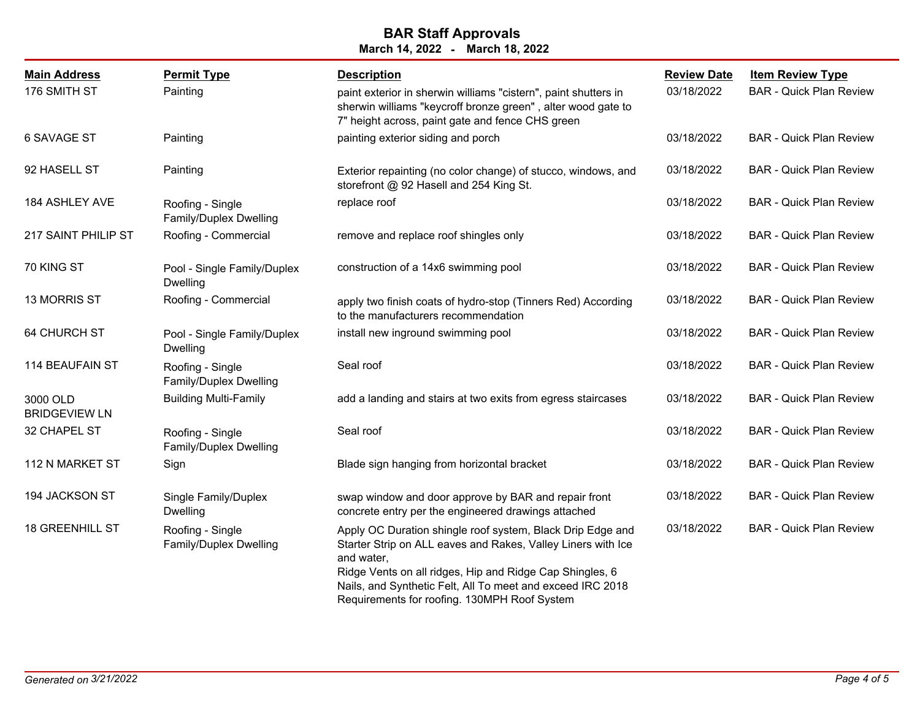| <b>Main Address</b>              | <b>Permit Type</b>                             | <b>Description</b>                                                                                                                                                                                                                                                                                                 | <b>Review Date</b> | <b>Item Review Type</b>        |
|----------------------------------|------------------------------------------------|--------------------------------------------------------------------------------------------------------------------------------------------------------------------------------------------------------------------------------------------------------------------------------------------------------------------|--------------------|--------------------------------|
| 176 SMITH ST                     | Painting                                       | paint exterior in sherwin williams "cistern", paint shutters in<br>sherwin williams "keycroff bronze green", alter wood gate to<br>7" height across, paint gate and fence CHS green                                                                                                                                | 03/18/2022         | <b>BAR - Quick Plan Review</b> |
| 6 SAVAGE ST                      | Painting                                       | painting exterior siding and porch                                                                                                                                                                                                                                                                                 | 03/18/2022         | <b>BAR - Quick Plan Review</b> |
| 92 HASELL ST                     | Painting                                       | Exterior repainting (no color change) of stucco, windows, and<br>storefront @ 92 Hasell and 254 King St.                                                                                                                                                                                                           | 03/18/2022         | <b>BAR - Quick Plan Review</b> |
| 184 ASHLEY AVE                   | Roofing - Single<br>Family/Duplex Dwelling     | replace roof                                                                                                                                                                                                                                                                                                       | 03/18/2022         | <b>BAR - Quick Plan Review</b> |
| 217 SAINT PHILIP ST              | Roofing - Commercial                           | remove and replace roof shingles only                                                                                                                                                                                                                                                                              | 03/18/2022         | <b>BAR - Quick Plan Review</b> |
| 70 KING ST                       | Pool - Single Family/Duplex<br><b>Dwelling</b> | construction of a 14x6 swimming pool                                                                                                                                                                                                                                                                               | 03/18/2022         | <b>BAR - Quick Plan Review</b> |
| 13 MORRIS ST                     | Roofing - Commercial                           | apply two finish coats of hydro-stop (Tinners Red) According<br>to the manufacturers recommendation                                                                                                                                                                                                                | 03/18/2022         | <b>BAR - Quick Plan Review</b> |
| <b>64 CHURCH ST</b>              | Pool - Single Family/Duplex<br><b>Dwelling</b> | install new inground swimming pool                                                                                                                                                                                                                                                                                 | 03/18/2022         | <b>BAR - Quick Plan Review</b> |
| 114 BEAUFAIN ST                  | Roofing - Single<br>Family/Duplex Dwelling     | Seal roof                                                                                                                                                                                                                                                                                                          | 03/18/2022         | <b>BAR - Quick Plan Review</b> |
| 3000 OLD<br><b>BRIDGEVIEW LN</b> | <b>Building Multi-Family</b>                   | add a landing and stairs at two exits from egress staircases                                                                                                                                                                                                                                                       | 03/18/2022         | <b>BAR - Quick Plan Review</b> |
| 32 CHAPEL ST                     | Roofing - Single<br>Family/Duplex Dwelling     | Seal roof                                                                                                                                                                                                                                                                                                          | 03/18/2022         | <b>BAR - Quick Plan Review</b> |
| 112 N MARKET ST                  | Sign                                           | Blade sign hanging from horizontal bracket                                                                                                                                                                                                                                                                         | 03/18/2022         | <b>BAR - Quick Plan Review</b> |
| 194 JACKSON ST                   | Single Family/Duplex<br><b>Dwelling</b>        | swap window and door approve by BAR and repair front<br>concrete entry per the engineered drawings attached                                                                                                                                                                                                        | 03/18/2022         | <b>BAR - Quick Plan Review</b> |
| <b>18 GREENHILL ST</b>           | Roofing - Single<br>Family/Duplex Dwelling     | Apply OC Duration shingle roof system, Black Drip Edge and<br>Starter Strip on ALL eaves and Rakes, Valley Liners with Ice<br>and water.<br>Ridge Vents on all ridges, Hip and Ridge Cap Shingles, 6<br>Nails, and Synthetic Felt, All To meet and exceed IRC 2018<br>Requirements for roofing. 130MPH Roof System | 03/18/2022         | <b>BAR - Quick Plan Review</b> |